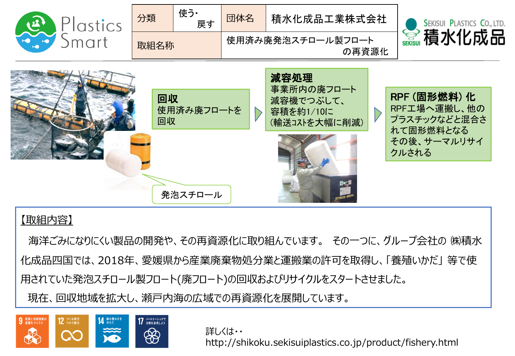

## 【取組内容】

海洋ごみになりにくい製品の開発や、その再資源化に取り組んでいます。 その一つに、グループ会社の ㈱積水 化成品四国では、2018年、愛媛県から産業廃棄物処分業と運搬業の許可を取得し、「養殖いかだ」 等で使 用されていた発泡スチロール製フロート(廃フロート)の回収およびリサイクルをスタートさせました。 現在、回収地域を拡大し、瀬戸内海の広域での再資源化を展開しています。

発泡スチロール



詳しくは・・ http://shikoku.sekisuiplastics.co.jp/product/fishery.html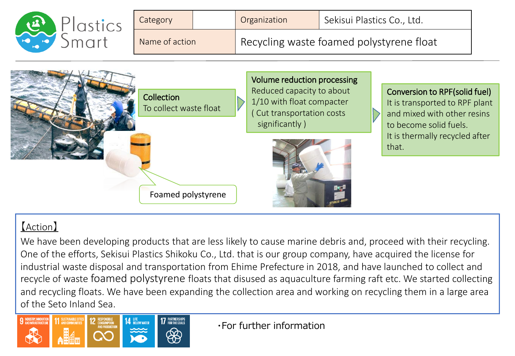

## 【Action】

We have been developing products that are less likely to cause marine debris and, proceed with their recycling. One of the efforts, Sekisui Plastics Shikoku Co., Ltd. that is our group company, have acquired the license for industrial waste disposal and transportation from Ehime Prefecture in 2018, and have launched to collect and recycle of waste foamed polystyrene floats that disused as aquaculture farming raft etc. We started collecting and recycling floats. We have been expanding the collection area and working on recycling them in a large area of the Seto Inland Sea.



・For further information